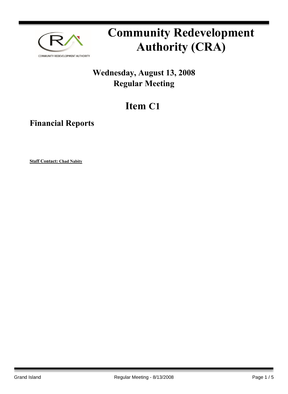

# **Community Redevelopment Authority (CRA)**

### **Wednesday, August 13, 2008 Regular Meeting**

## **Item C1**

**Financial Reports**

**Staff Contact: Chad Nabity**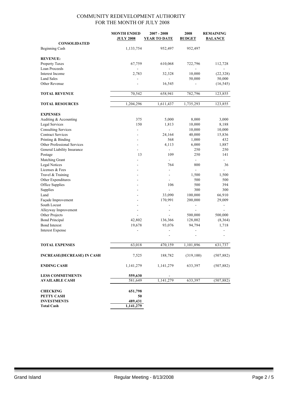|                                   | <b>MONTH ENDED</b>       | $2007 - 2008$            | 2008                     | <b>REMAINING</b>             |
|-----------------------------------|--------------------------|--------------------------|--------------------------|------------------------------|
|                                   | <b>JULY 2008</b>         | <b>YEAR TO DATE</b>      | <b>BUDGET</b>            | <b>BALANCE</b>               |
| <b>CONSOLIDATED</b>               |                          |                          |                          |                              |
| <b>Beginning Cash</b>             | 1,133,754                | 952,497                  | 952,497                  |                              |
| <b>REVENUE:</b>                   |                          |                          |                          |                              |
| Property Taxes                    | 67,759                   | 610,068                  | 722,796                  | 112,728                      |
| Loan Proceeds                     |                          |                          |                          |                              |
| Interest Income                   | 2,783                    | 32,328                   | 10,000                   | (22, 328)                    |
| <b>Land Sales</b>                 |                          |                          | 50,000                   | 50,000                       |
| Other Revenue                     |                          | 16,545                   |                          | (16, 545)                    |
|                                   |                          |                          |                          |                              |
| <b>TOTAL REVENUE</b>              | 70,542                   | 658,941                  | 782,796                  | 123,855                      |
| <b>TOTAL RESOURCES</b>            | 1,204,296                | 1,611,437                | 1,735,293                | 123,855                      |
| <b>EXPENSES</b>                   |                          |                          |                          |                              |
| Auditing & Accounting             | 375                      | 5,000                    | 8,000                    | 3,000                        |
| <b>Legal Services</b>             | 150                      | 1,813                    | 10,000                   | 8,188                        |
| <b>Consulting Services</b>        | $\overline{\phantom{a}}$ | $\blacksquare$           | 10,000                   | 10,000                       |
| <b>Contract Services</b>          |                          | 24,164                   | 40,000                   | 15,836                       |
| Printing & Binding                |                          | 568                      | 1,000                    | 432                          |
| Other Professional Services       |                          | 4,113                    | 6,000                    | 1,887                        |
| General Liability Insurance       |                          | $\frac{1}{2}$            | 250                      | 250                          |
| Postage                           | 13                       | 109                      | 250                      | 141                          |
| Matching Grant                    |                          |                          | $\overline{a}$           |                              |
| <b>Legal Notices</b>              |                          | 764                      | 800                      | 36                           |
| Licenses & Fees                   |                          |                          |                          |                              |
| Travel & Training                 |                          | $\overline{a}$           | 1,500                    | 1,500                        |
| Other Expenditures                |                          |                          | 500                      | 500                          |
| Office Supplies                   |                          | 106                      | 500                      | 394                          |
| Supplies                          |                          | $\overline{a}$           | 300                      | 300                          |
| Land                              |                          | 33,090                   | 100,000                  | 66,910                       |
| Façade Improvement                |                          | 170,991                  | 200,000                  | 29,009                       |
| South Locust                      |                          | $\overline{\phantom{m}}$ | $\overline{\phantom{a}}$ | $\qquad \qquad \blacksquare$ |
| Alleyway Improvement              |                          | $\overline{a}$           | $\blacksquare$           |                              |
| Other Projects                    |                          |                          | 500,000                  | 500,000                      |
| <b>Bond Principal</b>             | 42,802                   | 136,366                  | 128,002                  | (8,364)                      |
| <b>Bond Interest</b>              | 19,678                   | 93,076                   | 94,794                   | 1,718                        |
| <b>Interest Expense</b>           |                          |                          | $\overline{a}$           |                              |
|                                   |                          |                          |                          |                              |
| <b>TOTAL EXPENSES</b>             | 63,018                   | 470,159                  | 1,101,896                | 631,737                      |
| <b>INCREASE(DECREASE) IN CASH</b> | 7,525                    | 188,782                  | (319,100)                | (507, 882)                   |
| <b>ENDING CASH</b>                | 1,141,279                | 1,141,279                | 633,397                  | (507, 882)                   |
| <b>LESS COMMITMENTS</b>           | 559,630                  |                          |                          |                              |
| <b>AVAILABLE CASH</b>             | 581,649                  | 1,141,279                | 633,397                  | (507, 882)                   |
| <b>CHECKING</b>                   | 651,798                  |                          |                          |                              |
| PETTY CASH                        | 50                       |                          |                          |                              |
| <b>INVESTMENTS</b>                | 489,431                  |                          |                          |                              |
| <b>Total Cash</b>                 | 1,141,279                |                          |                          |                              |
|                                   |                          |                          |                          |                              |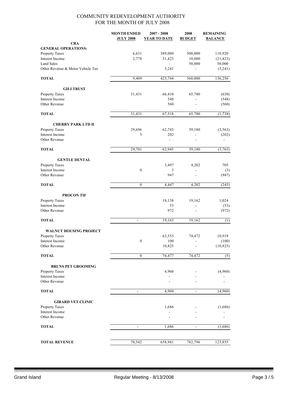|                                      | <b>MONTH ENDED</b><br><b>JULY 2008</b> | $2007 - 2008$<br><b>YEAR TO DATE</b> | 2008<br><b>BUDGET</b>    | <b>REMAINING</b><br><b>BALANCE</b> |
|--------------------------------------|----------------------------------------|--------------------------------------|--------------------------|------------------------------------|
| <b>CRA</b>                           |                                        |                                      |                          |                                    |
| <b>GENERAL OPERATIONS:</b>           |                                        |                                      |                          |                                    |
| Property Taxes                       | 6,631                                  | 389,080                              | 500,000                  | 110,920                            |
| Interest Income<br><b>Land Sales</b> | 2,778                                  | 31,423                               | 10,000<br>50,000         | (21, 423)<br>50,000                |
| Other Revenue & Motor Vehicle Tax    |                                        | 3,241                                |                          | (3,241)                            |
| <b>TOTAL</b>                         | 9,409                                  | 423,744                              | 560,000                  | 136,256                            |
| <b>GILI TRUST</b>                    |                                        |                                      |                          |                                    |
| <b>Property Taxes</b>                | 31,431                                 | 66,410                               | 65,780                   | (630)                              |
| Interest Income                      |                                        | 548                                  |                          | (548)                              |
| Other Revenue                        |                                        | 560                                  |                          | (560)                              |
| <b>TOTAL</b>                         | 31,431                                 | 67,518                               | 65,780                   | (1, 738)                           |
| <b>CHERRY PARK LTD II</b>            |                                        |                                      |                          |                                    |
| <b>Property Taxes</b>                | 29,696                                 | 62,743                               | 59,180                   | (3, 563)                           |
| Interest Income                      | 5                                      | 202                                  | $\overline{\phantom{0}}$ | (202)                              |
| Other Revenue                        |                                        | $\blacksquare$                       |                          |                                    |
| <b>TOTAL</b>                         | 29,701                                 | 62,945                               | 59,180                   | (3,765)                            |
| <b>GENTLE DENTAL</b>                 |                                        |                                      |                          |                                    |
| Property Taxes                       |                                        | 3,497                                | 4,202                    | 705                                |
| Interest Income                      | $\boldsymbol{0}$                       | 3                                    | ä,                       | (3)                                |
| Other Revenue                        |                                        | 947                                  |                          | (947)                              |
| <b>TOTAL</b>                         | $\mathbf{0}$                           | 4,447                                | 4,202                    | (245)                              |
| <b>PROCON TIF</b>                    |                                        |                                      |                          |                                    |
| Property Taxes                       |                                        | 18,138                               | 19,162                   | 1,024                              |
| Interest Income                      |                                        | 53                                   |                          | (53)                               |
| Other Revenue                        |                                        | 972                                  | ä,                       | (972)                              |
| <b>TOTAL</b>                         | $\blacksquare$                         | 19,163                               | 19,162                   | (1)                                |
| <b>WALNUT HOUSING PROJECT</b>        |                                        |                                      |                          |                                    |
| Property Taxes                       |                                        | 63,553                               | 74,472                   | 10,919                             |
| Interest Income                      | $\boldsymbol{0}$                       | 100                                  |                          | (100)                              |
| Other Revenue                        |                                        | 10,825                               |                          | (10, 825)                          |
| <b>TOTAL</b>                         | $\boldsymbol{0}$                       | 74,477                               | 74,472                   | (5)                                |
| <b>BRUNS PET GROOMING</b>            |                                        |                                      |                          |                                    |
| Property Taxes                       |                                        | 4,960                                |                          | (4,960)                            |
| Interest Income                      |                                        |                                      |                          |                                    |
| Other Revenue                        |                                        |                                      |                          |                                    |
| <b>TOTAL</b>                         | $\blacksquare$                         | 4,960                                | $\frac{1}{2}$            | (4,960)                            |
| <b>GIRARD VET CLINIC</b>             |                                        |                                      |                          |                                    |
| Property Taxes                       |                                        | 1,686                                |                          | (1,686)                            |
| Interest Income                      |                                        |                                      |                          |                                    |
| Other Revenue                        |                                        |                                      |                          |                                    |
| <b>TOTAL</b>                         | $\overline{a}$                         | 1,686                                | $\frac{1}{2}$            | (1,686)                            |
|                                      |                                        |                                      |                          |                                    |
| <b>TOTAL REVENUE</b>                 | 70,542                                 | 658,941                              | 782,796                  | 123,855                            |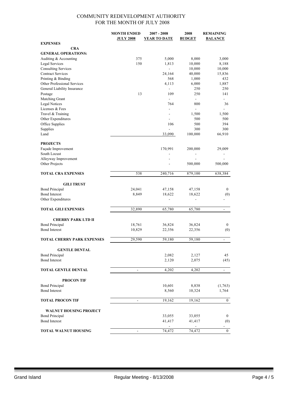|                                   | <b>MONTH ENDED</b> | $2007 - 2008$            | 2008           | <b>REMAINING</b>         |
|-----------------------------------|--------------------|--------------------------|----------------|--------------------------|
|                                   | <b>JULY 2008</b>   | <b>YEAR TO DATE</b>      | <b>BUDGET</b>  | <b>BALANCE</b>           |
| <b>EXPENSES</b>                   |                    |                          |                |                          |
| <b>CRA</b>                        |                    |                          |                |                          |
| <b>GENERAL OPERATIONS:</b>        |                    |                          |                |                          |
| Auditing & Accounting             | 375                | 5,000                    | 8,000          | 3,000                    |
| Legal Services                    | 150                | 1,813                    | 10,000         | 8,188                    |
| <b>Consulting Services</b>        |                    | $\overline{a}$           | 10,000         | 10,000                   |
| <b>Contract Services</b>          |                    | 24,164                   | 40,000         | 15,836                   |
| Printing & Binding                |                    | 568                      | 1,000          | 432                      |
| Other Professional Services       |                    | 4,113                    | 6,000          | 1,887                    |
| General Liability Insurance       |                    | $\blacksquare$           | 250            | 250                      |
| Postage                           | 13                 | 109                      | 250            | 141                      |
| Matching Grant                    |                    | $\blacksquare$           | $\blacksquare$ |                          |
| <b>Legal Notices</b>              |                    | 764                      | 800            | 36                       |
| Licenses & Fees                   |                    | $\overline{\phantom{a}}$ | ä,             |                          |
|                                   |                    |                          |                |                          |
| Travel & Training                 |                    | $\overline{a}$           | 1,500          | 1,500                    |
| Other Expenditures                |                    |                          | 500            | 500                      |
| Office Supplies                   |                    | 106                      | 500            | 394                      |
| Supplies                          |                    | $\blacksquare$           | 300            | 300                      |
| Land                              |                    | 33,090                   | 100,000        | 66,910                   |
|                                   |                    |                          |                |                          |
| <b>PROJECTS</b>                   |                    |                          |                |                          |
| Façade Improvement                |                    | 170,991                  | 200,000        | 29,009                   |
| South Locust                      |                    | -                        |                |                          |
| Alleyway Improvement              |                    |                          |                |                          |
| Other Projects                    |                    |                          | 500,000        | 500,000                  |
|                                   |                    |                          |                |                          |
| <b>TOTAL CRA EXPENSES</b>         | 538                | 240,716                  | 879,100        | 638,384                  |
|                                   |                    |                          |                |                          |
| <b>GILI TRUST</b>                 |                    |                          |                |                          |
| <b>Bond Principal</b>             | 24,041             | 47,158                   | 47,158         | $\bf{0}$                 |
| <b>Bond Interest</b>              | 8,849              | 18,622                   | 18,622         | (0)                      |
| Other Expenditures                |                    | $\overline{a}$           | $\overline{a}$ |                          |
|                                   |                    |                          |                |                          |
| <b>TOTAL GILI EXPENSES</b>        | 32,890             | 65,780                   | 65,780         | $\frac{1}{2}$            |
|                                   |                    |                          |                |                          |
|                                   |                    |                          |                |                          |
| <b>CHERRY PARK LTD II</b>         |                    |                          |                |                          |
| <b>Bond Principal</b>             | 18,761             | 36,824                   | 36,824         | $\bf{0}$                 |
| <b>Bond Interest</b>              | 10,829             | 22,356                   | 22,356         | (0)                      |
|                                   |                    |                          |                |                          |
| <b>TOTAL CHERRY PARK EXPENSES</b> | 29,590             | 59,180                   | 59,180         |                          |
|                                   |                    |                          |                |                          |
| <b>GENTLE DENTAL</b>              |                    |                          |                |                          |
| <b>Bond Principal</b>             |                    | 2,082                    | 2,127          | 45                       |
| <b>Bond Interest</b>              |                    | 2,120                    | 2,075          | (45)                     |
|                                   |                    |                          |                |                          |
| <b>TOTAL GENTLE DENTAL</b>        | $\blacksquare$     | 4,202                    | 4,202          | $\blacksquare$           |
|                                   |                    |                          |                |                          |
| <b>PROCON TIF</b>                 |                    |                          |                |                          |
| <b>Bond Principal</b>             |                    | 10,601                   | 8,838          | (1,763)                  |
| <b>Bond Interest</b>              |                    | 8,560                    | 10,324         | 1,764                    |
|                                   |                    |                          |                |                          |
| <b>TOTAL PROCON TIF</b>           | $\overline{a}$     | 19,162                   | 19,162         | $\mathbf{0}$             |
|                                   |                    |                          |                |                          |
|                                   |                    |                          |                |                          |
| <b>WALNUT HOUSING PROJECT</b>     |                    |                          |                |                          |
| <b>Bond Principal</b>             |                    | 33,055                   | 33,055         | $\bf{0}$                 |
| <b>Bond Interest</b>              |                    | 41,417                   | 41,417         | (0)                      |
|                                   |                    |                          |                | $\overline{\phantom{0}}$ |
| <b>TOTAL WALNUT HOUSING</b>       | $\blacksquare$     | 74,472                   | 74,472         | $\bf{0}$                 |